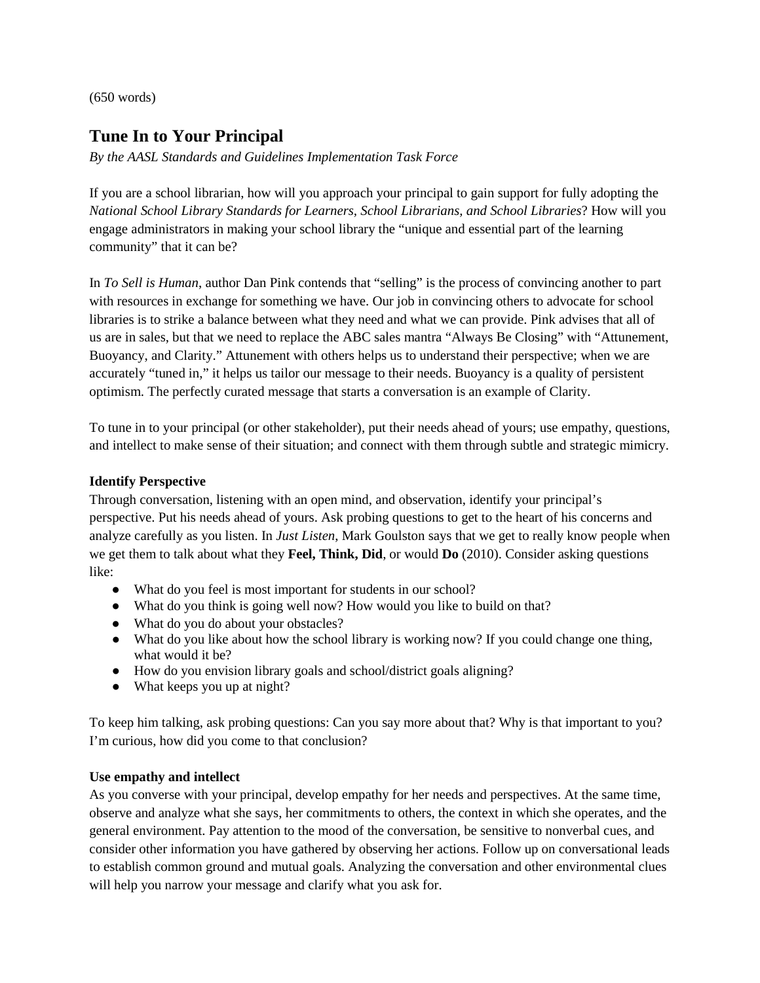(650 words)

## **Tune In to Your Principal**

*By the AASL Standards and Guidelines Implementation Task Force*

If you are a school librarian, how will you approach your principal to gain support for fully adopting the *National School Library Standards for Learners, School Librarians, and School Libraries*? How will you engage administrators in making your school library the "unique and essential part of the learning community" that it can be?

In *To Sell is Human*, author Dan Pink contends that "selling" is the process of convincing another to part with resources in exchange for something we have. Our job in convincing others to advocate for school libraries is to strike a balance between what they need and what we can provide. Pink advises that all of us are in sales, but that we need to replace the ABC sales mantra "Always Be Closing" with "Attunement, Buoyancy, and Clarity." Attunement with others helps us to understand their perspective; when we are accurately "tuned in," it helps us tailor our message to their needs. Buoyancy is a quality of persistent optimism. The perfectly curated message that starts a conversation is an example of Clarity.

To tune in to your principal (or other stakeholder), put their needs ahead of yours; use empathy, questions, and intellect to make sense of their situation; and connect with them through subtle and strategic mimicry.

## **Identify Perspective**

Through conversation, listening with an open mind, and observation, identify your principal's perspective. Put his needs ahead of yours. Ask probing questions to get to the heart of his concerns and analyze carefully as you listen. In *Just Listen*, Mark Goulston says that we get to really know people when we get them to talk about what they **Feel, Think, Did**, or would **Do** (2010). Consider asking questions like:

- What do you feel is most important for students in our school?
- What do you think is going well now? How would you like to build on that?
- What do you do about your obstacles?
- What do you like about how the school library is working now? If you could change one thing, what would it be?
- How do you envision library goals and school/district goals aligning?
- What keeps you up at night?

To keep him talking, ask probing questions: Can you say more about that? Why is that important to you? I'm curious, how did you come to that conclusion?

## **Use empathy and intellect**

As you converse with your principal, develop empathy for her needs and perspectives. At the same time, observe and analyze what she says, her commitments to others, the context in which she operates, and the general environment. Pay attention to the mood of the conversation, be sensitive to nonverbal cues, and consider other information you have gathered by observing her actions. Follow up on conversational leads to establish common ground and mutual goals. Analyzing the conversation and other environmental clues will help you narrow your message and clarify what you ask for.